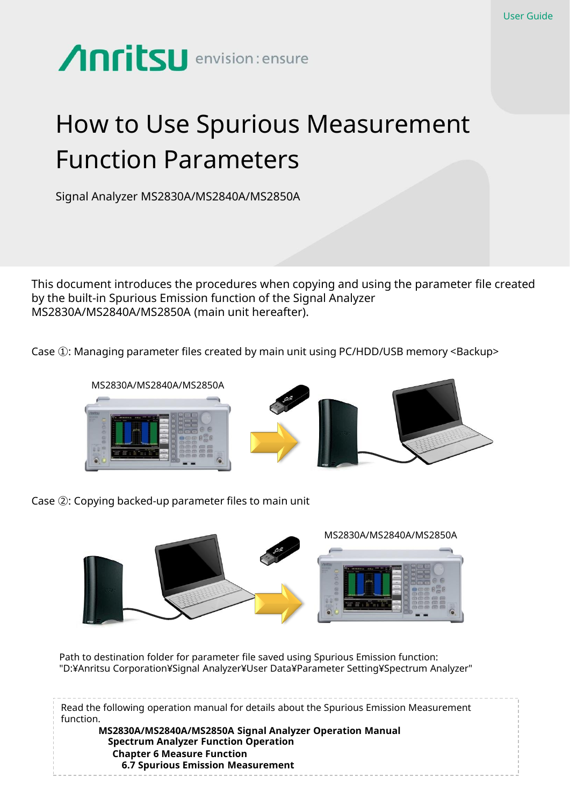

# How to Use Spurious Measurement Function Parameters

Signal Analyzer MS2830A/MS2840A/MS2850A

This document introduces the procedures when copying and using the parameter file created by the built-in Spurious Emission function of the Signal Analyzer MS2830A/MS2840A/MS2850A (main unit hereafter).

Case ①: Managing parameter files created by main unit using PC/HDD/USB memory <Backup>









Case ②: Copying backed-up parameter files to main unit



Path to destination folder for parameter file saved using Spurious Emission function: "D:¥Anritsu Corporation¥Signal Analyzer¥User Data¥Parameter Setting¥Spectrum Analyzer"

Read the following operation manual for details about the Spurious Emission Measurement function. **MS2830A/MS2840A/MS2850A Signal Analyzer Operation Manual Spectrum Analyzer Function Operation Chapter 6 Measure Function 6.7 Spurious Emission Measurement**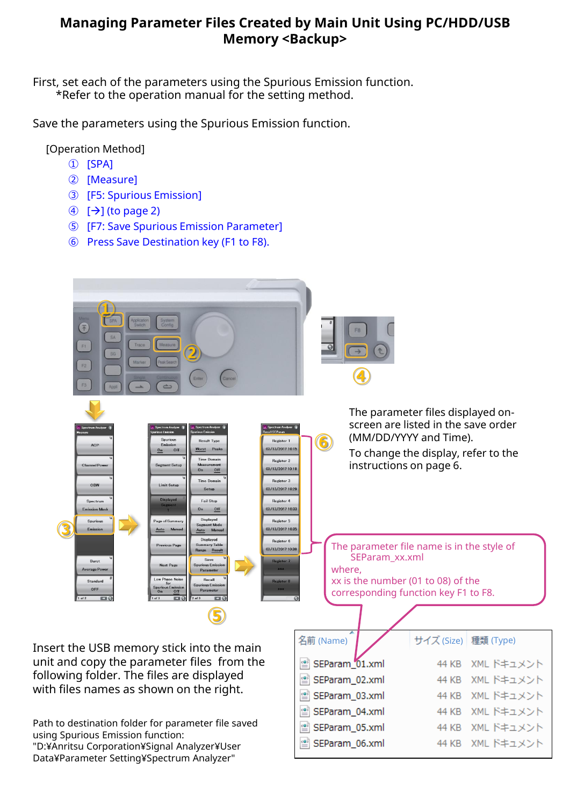#### **Managing Parameter Files Created by Main Unit Using PC/HDD/USB Memory <Backup>**

First, set each of the parameters using the Spurious Emission function. \*Refer to the operation manual for the setting method.

Save the parameters using the Spurious Emission function.

[Operation Method]

- ① [SPA]
- ② [Measure]
- ③ [F5: Spurious Emission]
- $\textcircled{4}$   $\textcircled{7}$  (to page 2)
- ⑤ [F7: Save Spurious Emission Parameter]
- ⑥ Press Save Destination key (F1 to F8).

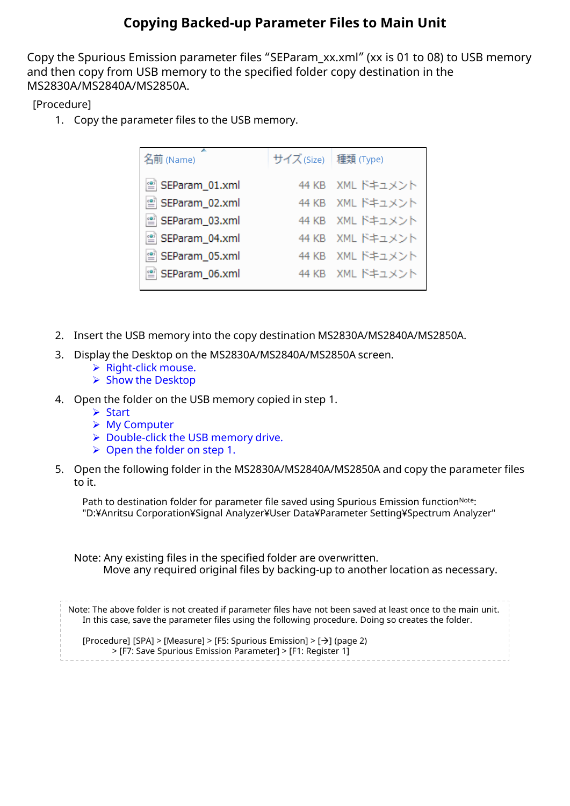### **Copying Backed-up Parameter Files to Main Unit**

Copy the Spurious Emission parameter files "SEParam\_xx.xml" (xx is 01 to 08) to USB memory and then copy from USB memory to the specified folder copy destination in the MS2830A/MS2840A/MS2850A.

[Procedure]

1. Copy the parameter files to the USB memory.

| 名前 (Name)        | サイズ (Size) 種類 (Type) |                  |
|------------------|----------------------|------------------|
| ≌ SEParam_01.xml |                      | 44 KB XML ドキュメント |
| SEParam_02.xml   |                      | 44 KB XML ドキュメント |
| ≌ SEParam_03.xml |                      | 44 KB XML ドキュメント |
| SEParam_04.xml   |                      | 44 KB XML ドキュメント |
| SEParam_05.xml   |                      | 44 KB XML ドキュメント |
| ≌ SEParam_06.xml |                      | 44 KB XML ドキュメント |
|                  |                      |                  |

- 2. Insert the USB memory into the copy destination MS2830A/MS2840A/MS2850A.
- 3. Display the Desktop on the MS2830A/MS2840A/MS2850A screen.
	- $\triangleright$  Right-click mouse.
	- $\triangleright$  Show the Desktop
- 4. Open the folder on the USB memory copied in step 1.
	- **▶ Start**
	- My Computer
	- ▶ Double-click the USB memory drive.
	- $\triangleright$  Open the folder on step 1.
- 5. Open the following folder in the MS2830A/MS2840A/MS2850A and copy the parameter files to it.

Path to destination folder for parameter file saved using Spurious Emission function<sup>Note</sup>: "D:¥Anritsu Corporation¥Signal Analyzer¥User Data¥Parameter Setting¥Spectrum Analyzer"

Note: Any existing files in the specified folder are overwritten. Move any required original files by backing-up to another location as necessary.

Note: The above folder is not created if parameter files have not been saved at least once to the main unit. In this case, save the parameter files using the following procedure. Doing so creates the folder.

[Procedure] [SPA] > [Measure] > [F5: Spurious Emission] > [ $\rightarrow$ ] (page 2) > [F7: Save Spurious Emission Parameter] > [F1: Register 1]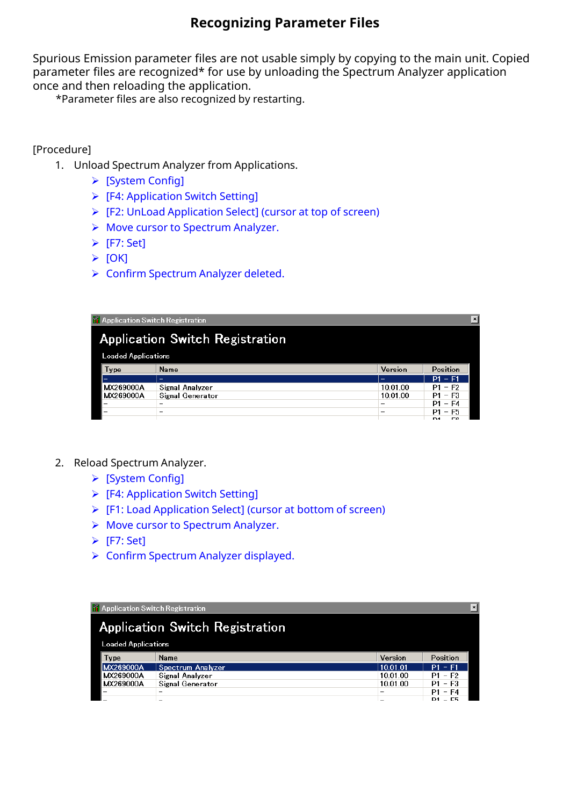### **Recognizing Parameter Files**

Spurious Emission parameter files are not usable simply by copying to the main unit. Copied parameter files are recognized\* for use by unloading the Spectrum Analyzer application once and then reloading the application.

\*Parameter files are also recognized by restarting.

#### [Procedure]

- 1. Unload Spectrum Analyzer from Applications.
	- [System Config]
	- [F4: Application Switch Setting]
	- [F2: UnLoad Application Select] (cursor at top of screen)
	- ▶ Move cursor to Spectrum Analyzer.
	- $\triangleright$  [F7: Set]
	- $\triangleright$  [OK]
	- ▶ Confirm Spectrum Analyzer deleted.

| <b>T</b> Application Switch Registration |                  |          |                       |
|------------------------------------------|------------------|----------|-----------------------|
| <b>Application Switch Registration</b>   |                  |          |                       |
| <b>Loaded Applications</b>               |                  |          |                       |
| Type                                     | Name             | Version  | Position              |
| -                                        | -                | -        | $P1 - F1$             |
| MX269000A                                | Signal Analyzer  | 10.01.00 | $P1 - F2$             |
| MX269000A                                | Signal Generator | 10.01.00 | P1 - F3               |
| -                                        | -                |          | $P1 - F4$             |
|                                          | -                |          | $-$ F5<br>P1          |
|                                          |                  |          | ro.<br>D <sub>4</sub> |

- 2. Reload Spectrum Analyzer.
	- [System Config]
	- [F4: Application Switch Setting]
	- [F1: Load Application Select] (cursor at bottom of screen)
	- ▶ Move cursor to Spectrum Analyzer.
	- $\triangleright$  [F7: Set]
	- ▶ Confirm Spectrum Analyzer displayed.

| ∣× <br><b>17</b> Application Switch Registration |                   |          |                          |  |
|--------------------------------------------------|-------------------|----------|--------------------------|--|
| <b>Application Switch Registration</b>           |                   |          |                          |  |
| <b>Loaded Applications</b>                       |                   |          |                          |  |
| Type                                             | Name              | Version  | Position                 |  |
| MX269000A                                        | Spectrum Analyzer | 10.01.01 | $P1 - F1$                |  |
| MX269000A                                        | Signal Analyzer   | 10.01.00 | P1 - F2                  |  |
| MX269000A                                        | Signal Generator  | 10.01.00 | P1 - F3                  |  |
| -                                                |                   | -        | $P1 - F4$                |  |
|                                                  |                   |          | $-$ C5<br>D <sub>1</sub> |  |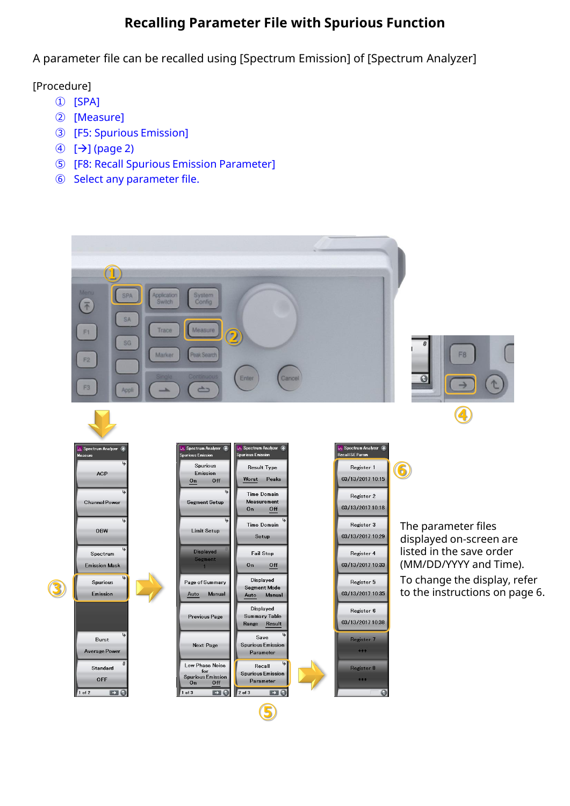## **Recalling Parameter File with Spurious Function**

A parameter file can be recalled using [Spectrum Emission] of [Spectrum Analyzer]

[Procedure]

- ① [SPA]
- ② [Measure]
- ③ [F5: Spurious Emission]
- $\textcircled{4}$   $\textup{[}\rightarrow \textup{]}$  (page 2)
- ⑤ [F8: Recall Spurious Emission Parameter]
- ⑥ Select any parameter file.

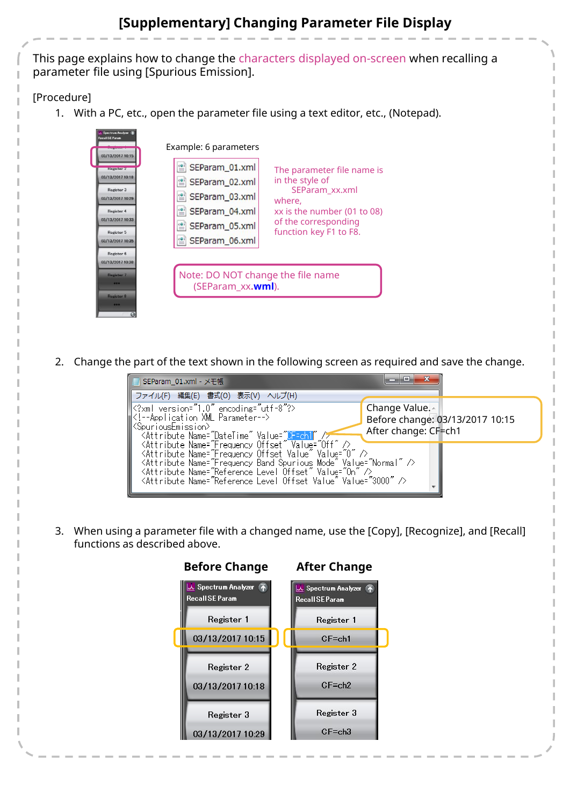## **[Supplementary] Changing Parameter File Display**

This page explains how to change the characters displayed on-screen when recalling a parameter file using [Spurious Emission].

#### [Procedure]

1. With a PC, etc., open the parameter file using a text editor, etc., (Notepad).

| Spectrum Analyzer<br><b>Recall SE Param</b><br>03/13/2017 10:15<br><b>Kegister 2</b><br>03/13/2017 10:18<br>Register 3<br>03/13/2017 10:29<br>Register 4<br>03/13/2017 10:33<br>Register 5<br>03/13/2017 10:35<br>Register 6 | Example: 6 parameters<br>SEParam_01.xml<br>The parameter file name is<br>in the style of<br>SEParam_02.xml<br>SEParam_xx.xml<br>SEParam_03.xml<br>where,<br>SEParam_04.xml<br>xx is the number (01 to 08)<br>of the corresponding<br>SEParam_05.xml<br>function key F1 to F8.<br>SEParam_06.xml |
|------------------------------------------------------------------------------------------------------------------------------------------------------------------------------------------------------------------------------|-------------------------------------------------------------------------------------------------------------------------------------------------------------------------------------------------------------------------------------------------------------------------------------------------|
| 03/13/2017 10:38<br>Register 7<br><br>Register 8<br>                                                                                                                                                                         | Note: DO NOT change the file name<br>(SEParam_xx.wml).                                                                                                                                                                                                                                          |

2. Change the part of the text shown in the following screen as required and save the change.

| SEParam_01.xml - メモ帳                                                                                            |                                 |  |
|-----------------------------------------------------------------------------------------------------------------|---------------------------------|--|
| ファイル(F) 編集(E) 書式(O) 表示(V) ヘルプ(H)                                                                                |                                 |  |
| k?xml version="1.0" encoding="utf-8"?>                                                                          | Change Value.                   |  |
| Application XML Parameter                                                                                       | Before change: 03/13/2017 10:15 |  |
| <spuriousemission><br/>KAttribute Name="DateTime" Value="<mark>DF=ch1 "</mark> /<del>/</del></spuriousemission> | After change: CF=ch1            |  |
| <attribute name="Frequency Offset" value="0ff"></attribute>                                                     |                                 |  |
| <attribute name="Frequency Offset Value" value="0"></attribute>                                                 |                                 |  |
| <attribute name="Frequency Band Spurious Mode" value="Normal"></attribute>                                      |                                 |  |
| <attribute name="Reference Level Offset" value="0n"></attribute>                                                |                                 |  |
| <attribute name="Reference Level Offset Value" value="3000"></attribute>                                        |                                 |  |

3. When using a parameter file with a changed name, use the [Copy], [Recognize], and [Recall] functions as described above.